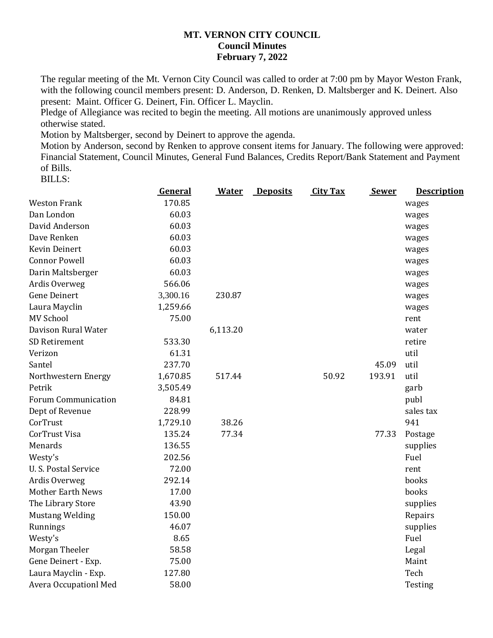## **MT. VERNON CITY COUNCIL Council Minutes February 7, 2022**

The regular meeting of the Mt. Vernon City Council was called to order at 7:00 pm by Mayor Weston Frank, with the following council members present: D. Anderson, D. Renken, D. Maltsberger and K. Deinert. Also present: Maint. Officer G. Deinert, Fin. Officer L. Mayclin.

Pledge of Allegiance was recited to begin the meeting. All motions are unanimously approved unless otherwise stated.

Motion by Maltsberger, second by Deinert to approve the agenda.

Motion by Anderson, second by Renken to approve consent items for January. The following were approved: Financial Statement, Council Minutes, General Fund Balances, Credits Report/Bank Statement and Payment of Bills.

BILLS:

|                              | General  | <b>Water</b> | <b>Deposits</b> | <b>City Tax</b> | <b>Sewer</b> | <b>Description</b> |
|------------------------------|----------|--------------|-----------------|-----------------|--------------|--------------------|
| <b>Weston Frank</b>          | 170.85   |              |                 |                 |              | wages              |
| Dan London                   | 60.03    |              |                 |                 |              | wages              |
| David Anderson               | 60.03    |              |                 |                 |              | wages              |
| Dave Renken                  | 60.03    |              |                 |                 |              | wages              |
| <b>Kevin Deinert</b>         | 60.03    |              |                 |                 |              | wages              |
| <b>Connor Powell</b>         | 60.03    |              |                 |                 |              | wages              |
| Darin Maltsberger            | 60.03    |              |                 |                 |              | wages              |
| Ardis Overweg                | 566.06   |              |                 |                 |              | wages              |
| <b>Gene Deinert</b>          | 3,300.16 | 230.87       |                 |                 |              | wages              |
| Laura Mayclin                | 1,259.66 |              |                 |                 |              | wages              |
| <b>MV School</b>             | 75.00    |              |                 |                 |              | rent               |
| Davison Rural Water          |          | 6,113.20     |                 |                 |              | water              |
| SD Retirement                | 533.30   |              |                 |                 |              | retire             |
| Verizon                      | 61.31    |              |                 |                 |              | util               |
| Santel                       | 237.70   |              |                 |                 | 45.09        | util               |
| Northwestern Energy          | 1,670.85 | 517.44       |                 | 50.92           | 193.91       | util               |
| Petrik                       | 3,505.49 |              |                 |                 |              | garb               |
| <b>Forum Communication</b>   | 84.81    |              |                 |                 |              | publ               |
| Dept of Revenue              | 228.99   |              |                 |                 |              | sales tax          |
| CorTrust                     | 1,729.10 | 38.26        |                 |                 |              | 941                |
| CorTrust Visa                | 135.24   | 77.34        |                 |                 | 77.33        | Postage            |
| Menards                      | 136.55   |              |                 |                 |              | supplies           |
| Westy's                      | 202.56   |              |                 |                 |              | Fuel               |
| U.S. Postal Service          | 72.00    |              |                 |                 |              | rent               |
| Ardis Overweg                | 292.14   |              |                 |                 |              | books              |
| <b>Mother Earth News</b>     | 17.00    |              |                 |                 |              | books              |
| The Library Store            | 43.90    |              |                 |                 |              | supplies           |
| <b>Mustang Welding</b>       | 150.00   |              |                 |                 |              | Repairs            |
| Runnings                     | 46.07    |              |                 |                 |              | supplies           |
| Westy's                      | 8.65     |              |                 |                 |              | Fuel               |
| Morgan Theeler               | 58.58    |              |                 |                 |              | Legal              |
| Gene Deinert - Exp.          | 75.00    |              |                 |                 |              | Maint              |
| Laura Mayclin - Exp.         | 127.80   |              |                 |                 |              | Tech               |
| <b>Avera Occupationl Med</b> | 58.00    |              |                 |                 |              | Testing            |
|                              |          |              |                 |                 |              |                    |